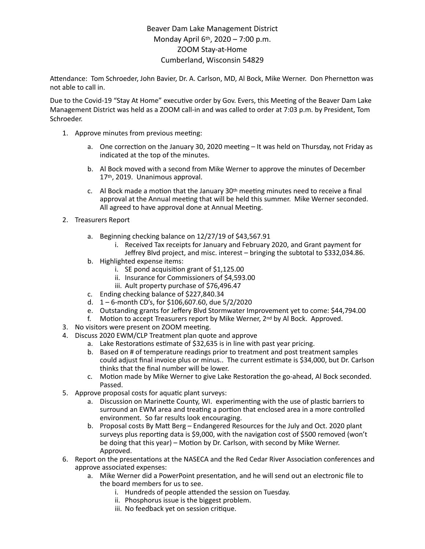## Beaver Dam Lake Management District Monday April 6th, 2020 – 7:00 p.m. ZOOM Stay-at-Home Cumberland, Wisconsin 54829

Attendance: Tom Schroeder, John Bavier, Dr. A. Carlson, MD, Al Bock, Mike Werner. Don Phernetton was not able to call in.

Due to the Covid-19 "Stay At Home" executive order by Gov. Evers, this Meeting of the Beaver Dam Lake Management District was held as a ZOOM call-in and was called to order at 7:03 p.m. by President, Tom Schroeder.

- 1. Approve minutes from previous meeting:
	- a. One correction on the January 30, 2020 meeting  $-$  It was held on Thursday, not Friday as indicated at the top of the minutes.
	- b. Al Bock moved with a second from Mike Werner to approve the minutes of December 17th, 2019. Unanimous approval.
	- c. Al Bock made a motion that the January  $30<sup>th</sup>$  meeting minutes need to receive a final approval at the Annual meeting that will be held this summer. Mike Werner seconded. All agreed to have approval done at Annual Meeting.
- 2. Treasurers Report
	- a. Beginning checking balance on 12/27/19 of \$43,567.91
		- i. Received Tax receipts for January and February 2020, and Grant payment for Jeffrey Blvd project, and misc. interest – bringing the subtotal to \$332,034.86.
	- b. Highlighted expense items:
		- i. SE pond acquisition grant of  $$1,125.00$
		- ii. Insurance for Commissioners of \$4,593.00
		- iii. Ault property purchase of \$76,496.47
	- c. Ending checking balance of \$227,840.34
	- d. 1 6-month CD's, for \$106,607.60, due 5/2/2020
	- e. Outstanding grants for Jeffery Blvd Stormwater Improvement yet to come: \$44,794.00
	- f. Motion to accept Treasurers report by Mike Werner,  $2^{nd}$  by Al Bock. Approved.
- 3. No visitors were present on ZOOM meeting.
- 4. Discuss 2020 EWM/CLP Treatment plan quote and approve
	- a. Lake Restorations estimate of \$32,635 is in line with past year pricing.
	- b. Based on # of temperature readings prior to treatment and post treatment samples could adjust final invoice plus or minus.. The current estimate is \$34,000, but Dr. Carlson thinks that the final number will be lower.
	- c. Motion made by Mike Werner to give Lake Restoration the go-ahead, Al Bock seconded. Passed.
- 5. Approve proposal costs for aquatic plant surveys:
	- a. Discussion on Marinette County, WI. experimenting with the use of plastic barriers to surround an EWM area and treating a portion that enclosed area in a more controlled environment. So far results look encouraging.
	- b. Proposal costs By Matt Berg Endangered Resources for the July and Oct. 2020 plant surveys plus reporting data is \$9,000, with the navigation cost of \$500 removed (won't be doing that this year) – Motion by Dr. Carlson, with second by Mike Werner. Approved.
- 6. Report on the presentations at the NASECA and the Red Cedar River Association conferences and approve associated expenses:
	- a. Mike Werner did a PowerPoint presentation, and he will send out an electronic file to the board members for us to see.
		- i. Hundreds of people attended the session on Tuesday.
		- ii. Phosphorus issue is the biggest problem.
		- iii. No feedback yet on session critique.